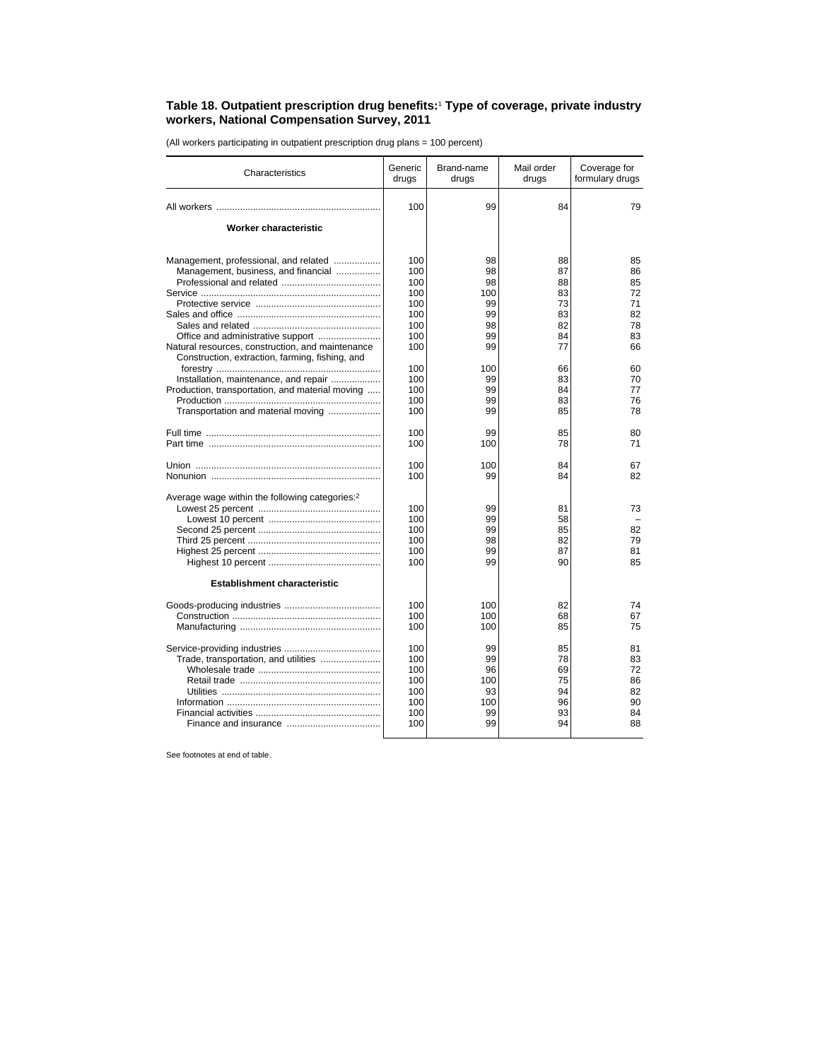## **Table 18. Outpatient prescription drug benefits:**<sup>1</sup>  **Type of coverage, private industry workers, National Compensation Survey, 2011**

(All workers participating in outpatient prescription drug plans = 100 percent)

| Characteristics                                                                                     | Generic<br>drugs | Brand-name<br>drugs | Mail order<br>drugs | Coverage for<br>formulary drugs |
|-----------------------------------------------------------------------------------------------------|------------------|---------------------|---------------------|---------------------------------|
|                                                                                                     | 100              | 99                  | 84                  | 79                              |
| Worker characteristic                                                                               |                  |                     |                     |                                 |
| Management, professional, and related                                                               | 100              | 98                  | 88                  | 85                              |
| Management, business, and financial                                                                 | 100              | 98                  | 87                  | 86                              |
|                                                                                                     | 100              | 98                  | 88                  | 85                              |
|                                                                                                     | 100              | 100                 | 83                  | 72                              |
|                                                                                                     | 100              | 99                  | 73                  | 71                              |
|                                                                                                     | 100              | 99                  | 83                  | 82                              |
|                                                                                                     | 100              | 98                  | 82                  | 78                              |
|                                                                                                     | 100              | 99                  | 84                  | 83                              |
| Natural resources, construction, and maintenance<br>Construction, extraction, farming, fishing, and | 100              | 99                  | 77                  | 66                              |
|                                                                                                     | 100              | 100                 | 66                  | 60                              |
| Installation, maintenance, and repair                                                               | 100              | 99                  | 83                  | 70                              |
| Production, transportation, and material moving                                                     | 100              | 99                  | 84                  | 77                              |
|                                                                                                     | 100              | 99                  | 83                  | 76                              |
| Transportation and material moving                                                                  | 100              | 99                  | 85                  | 78                              |
|                                                                                                     | 100              | 99                  | 85                  | 80                              |
|                                                                                                     | 100              | 100                 | 78                  | 71                              |
|                                                                                                     | 100              | 100                 | 84                  | 67                              |
|                                                                                                     | 100              | 99                  | 84                  | 82                              |
| Average wage within the following categories: <sup>2</sup>                                          |                  |                     |                     |                                 |
|                                                                                                     | 100              | 99                  | 81                  | 73                              |
|                                                                                                     | 100              | 99                  | 58                  |                                 |
|                                                                                                     | 100              | 99                  | 85                  | 82                              |
|                                                                                                     | 100              | 98                  | 82                  | 79                              |
|                                                                                                     | 100              | 99                  | 87                  | 81                              |
|                                                                                                     | 100              | 99                  | 90                  | 85                              |
| <b>Establishment characteristic</b>                                                                 |                  |                     |                     |                                 |
|                                                                                                     |                  |                     |                     |                                 |
|                                                                                                     | 100              | 100                 | 82                  | 74                              |
|                                                                                                     | 100              | 100                 | 68                  | 67                              |
|                                                                                                     | 100              | 100                 | 85                  | 75                              |
|                                                                                                     | 100              | 99                  | 85                  | 81                              |
| Trade, transportation, and utilities                                                                | 100              | 99                  | 78                  | 83                              |
|                                                                                                     | 100              | 96                  | 69                  | 72                              |
|                                                                                                     | 100              | 100                 | 75                  | 86                              |
|                                                                                                     | 100              | 93                  | 94                  | 82                              |
|                                                                                                     | 100              | 100                 | 96                  | 90                              |
|                                                                                                     | 100              | 99                  | 93                  | 84                              |
|                                                                                                     | 100              | 99                  | 94                  | 88                              |

See footnotes at end of table.